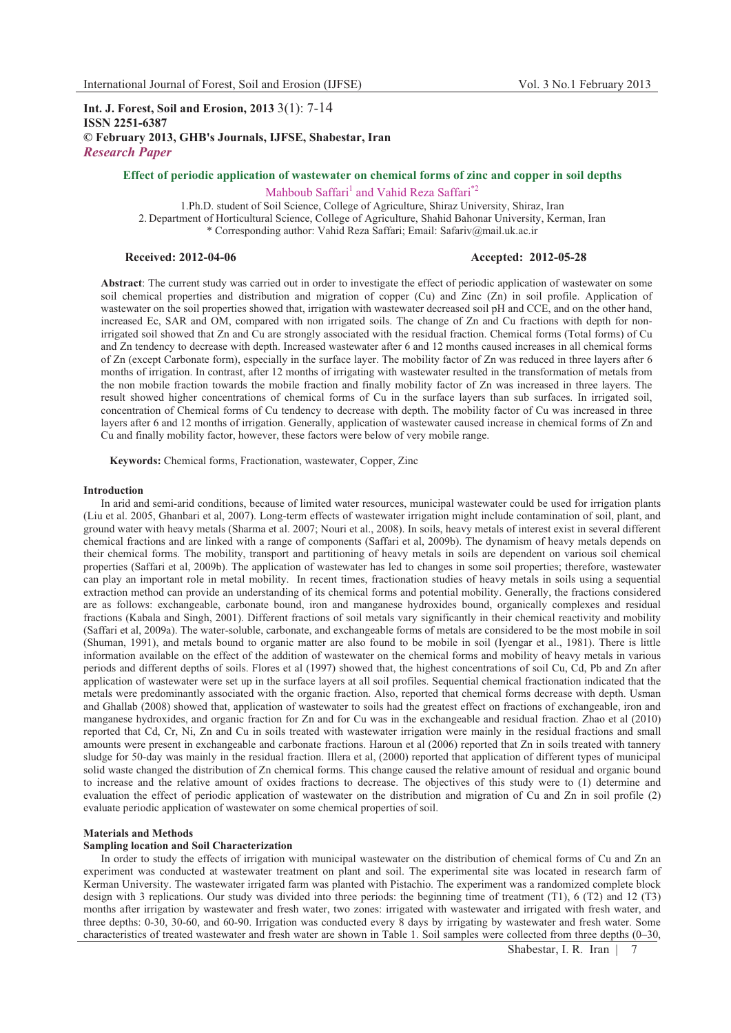# **Int. J. Forest, Soil and Erosion, 2013** 3(1): 7-14 **ISSN 2251-6387 © February 2013, GHB's Journals, IJFSE, Shabestar, Iran** *Research Paper*

# **Effect of periodic application of wastewater on chemical forms of zinc and copper in soil depths**

Mahboub Saffari<sup>1</sup> and Vahid Reza Saffari<sup>\*2</sup>

1.Ph.D. student of Soil Science, College of Agriculture, Shiraz University, Shiraz, Iran 2. Department of Horticultural Science, College of Agriculture, Shahid Bahonar University, Kerman, Iran \* Corresponding author: Vahid Reza Saffari; Email: Safariv@mail.uk.ac.ir

## **Received: 2012-04-06 Accepted: 2012-05-28**

**Abstract**: The current study was carried out in order to investigate the effect of periodic application of wastewater on some soil chemical properties and distribution and migration of copper (Cu) and Zinc (Zn) in soil profile. Application of wastewater on the soil properties showed that, irrigation with wastewater decreased soil pH and CCE, and on the other hand, increased Ec, SAR and OM, compared with non irrigated soils. The change of Zn and Cu fractions with depth for nonirrigated soil showed that Zn and Cu are strongly associated with the residual fraction. Chemical forms (Total forms) of Cu and Zn tendency to decrease with depth. Increased wastewater after 6 and 12 months caused increases in all chemical forms of Zn (except Carbonate form), especially in the surface layer. The mobility factor of Zn was reduced in three layers after 6 months of irrigation. In contrast, after 12 months of irrigating with wastewater resulted in the transformation of metals from the non mobile fraction towards the mobile fraction and finally mobility factor of Zn was increased in three layers. The result showed higher concentrations of chemical forms of Cu in the surface layers than sub surfaces. In irrigated soil, concentration of Chemical forms of Cu tendency to decrease with depth. The mobility factor of Cu was increased in three layers after 6 and 12 months of irrigation. Generally, application of wastewater caused increase in chemical forms of Zn and Cu and finally mobility factor, however, these factors were below of very mobile range.

**Keywords:** Chemical forms, Fractionation, wastewater, Copper, Zinc

#### **Introduction**

In arid and semi-arid conditions, because of limited water resources, municipal wastewater could be used for irrigation plants (Liu et al. 2005, Ghanbari et al, 2007). Long-term effects of wastewater irrigation might include contamination of soil, plant, and ground water with heavy metals (Sharma et al. 2007; Nouri et al., 2008). In soils, heavy metals of interest exist in several different chemical fractions and are linked with a range of components (Saffari et al, 2009b). The dynamism of heavy metals depends on their chemical forms. The mobility, transport and partitioning of heavy metals in soils are dependent on various soil chemical properties (Saffari et al, 2009b). The application of wastewater has led to changes in some soil properties; therefore, wastewater can play an important role in metal mobility. In recent times, fractionation studies of heavy metals in soils using a sequential extraction method can provide an understanding of its chemical forms and potential mobility. Generally, the fractions considered are as follows: exchangeable, carbonate bound, iron and manganese hydroxides bound, organically complexes and residual fractions (Kabala and Singh, 2001). Different fractions of soil metals vary significantly in their chemical reactivity and mobility (Saffari et al, 2009a). The water-soluble, carbonate, and exchangeable forms of metals are considered to be the most mobile in soil (Shuman, 1991), and metals bound to organic matter are also found to be mobile in soil (Iyengar et al., 1981). There is little information available on the effect of the addition of wastewater on the chemical forms and mobility of heavy metals in various periods and different depths of soils. Flores et al (1997) showed that, the highest concentrations of soil Cu, Cd, Pb and Zn after application of wastewater were set up in the surface layers at all soil profiles. Sequential chemical fractionation indicated that the metals were predominantly associated with the organic fraction. Also, reported that chemical forms decrease with depth. Usman and Ghallab (2008) showed that, application of wastewater to soils had the greatest effect on fractions of exchangeable, iron and manganese hydroxides, and organic fraction for Zn and for Cu was in the exchangeable and residual fraction. Zhao et al (2010) reported that Cd, Cr, Ni, Zn and Cu in soils treated with wastewater irrigation were mainly in the residual fractions and small amounts were present in exchangeable and carbonate fractions. Haroun et al (2006) reported that Zn in soils treated with tannery sludge for 50-day was mainly in the residual fraction. Illera et al, (2000) reported that application of different types of municipal solid waste changed the distribution of Zn chemical forms. This change caused the relative amount of residual and organic bound to increase and the relative amount of oxides fractions to decrease. The objectives of this study were to (1) determine and evaluation the effect of periodic application of wastewater on the distribution and migration of Cu and Zn in soil profile (2) evaluate periodic application of wastewater on some chemical properties of soil.

## **Materials and Methods**

## **Sampling location and Soil Characterization**

In order to study the effects of irrigation with municipal wastewater on the distribution of chemical forms of Cu and Zn an experiment was conducted at wastewater treatment on plant and soil. The experimental site was located in research farm of Kerman University. The wastewater irrigated farm was planted with Pistachio. The experiment was a randomized complete block design with 3 replications. Our study was divided into three periods: the beginning time of treatment (T1), 6 (T2) and 12 (T3) months after irrigation by wastewater and fresh water, two zones: irrigated with wastewater and irrigated with fresh water, and three depths: 0-30, 30-60, and 60-90. Irrigation was conducted every 8 days by irrigating by wastewater and fresh water. Some characteristics of treated wastewater and fresh water are shown in Table 1. Soil samples were collected from three depths (0–30,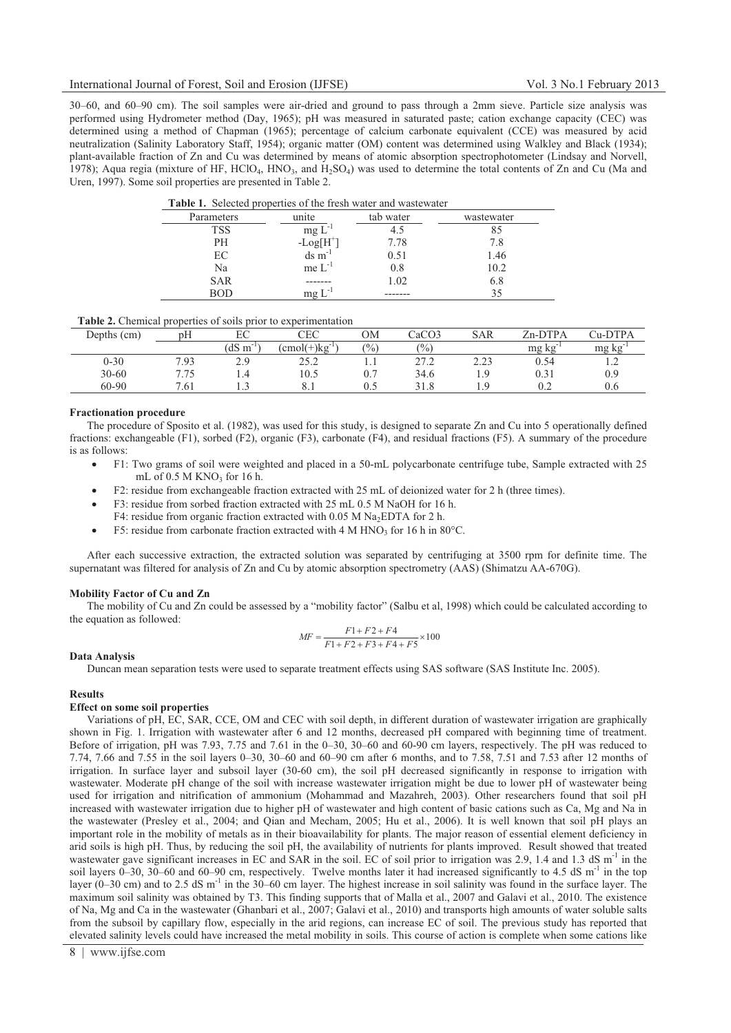30–60, and 60–90 cm). The soil samples were air-dried and ground to pass through a 2mm sieve. Particle size analysis was performed using Hydrometer method (Day, 1965); pH was measured in saturated paste; cation exchange capacity (CEC) was determined using a method of Chapman (1965); percentage of calcium carbonate equivalent (CCE) was measured by acid neutralization (Salinity Laboratory Staff, 1954); organic matter (OM) content was determined using Walkley and Black (1934); plant-available fraction of Zn and Cu was determined by means of atomic absorption spectrophotometer (Lindsay and Norvell, 1978); Aqua regia (mixture of HF, HClO<sub>4</sub>, HNO<sub>3</sub>, and H<sub>2</sub>SO<sub>4</sub>) was used to determine the total contents of Zn and Cu (Ma and Uren, 1997). Some soil properties are presented in Table 2.

| THE STATE THAT IS THE STATE OF THE TERM IS AN ARRAY AND A STATE IT AND AN IT AN ARRAY |                      |           |            |  |  |  |  |  |  |  |
|---------------------------------------------------------------------------------------|----------------------|-----------|------------|--|--|--|--|--|--|--|
| Parameters                                                                            | unite                | tab water | wastewater |  |  |  |  |  |  |  |
| TSS                                                                                   | $mg L$ <sup>-1</sup> | 4.5       | 85         |  |  |  |  |  |  |  |
| PH                                                                                    | $-Log[H]$            | 7.78      | 7.8        |  |  |  |  |  |  |  |
| EC                                                                                    | $ds \, m^{-1}$       | 0.51      | 1.46       |  |  |  |  |  |  |  |
| Na                                                                                    | $me L^{-1}$          | 0.8       | 10.2       |  |  |  |  |  |  |  |
| <b>SAR</b>                                                                            |                      | 1.02      | 6.8        |  |  |  |  |  |  |  |
| BOD                                                                                   | mg                   |           | 35         |  |  |  |  |  |  |  |

| <b>Table 1.</b> Selected properties of the fresh water and wastewater |  |  |  |  |
|-----------------------------------------------------------------------|--|--|--|--|
|-----------------------------------------------------------------------|--|--|--|--|

| <b>Table 2.</b> Chemical properties of soils prior to experimentation |  |  |  |  |
|-----------------------------------------------------------------------|--|--|--|--|
|-----------------------------------------------------------------------|--|--|--|--|

| pH   | EС                 | CEC                 | ОM    | CaCO3           | <b>SAR</b>   | Zn-DTPA  | Cu-DTPA          |
|------|--------------------|---------------------|-------|-----------------|--------------|----------|------------------|
|      | $(dS \ m)$<br>$-1$ | $\text{cmol}(+)$ kg | (0/0) | $\frac{(0)}{0}$ |              | mg<br>kg | mg kg            |
| 7.93 | 2.9                | 25.2                | 1.1   | 27.2            | 22<br>د که ک | 0.54     | $\overline{1}$ . |
| 7.75 | 1.4                | 10.5                | 0.7   | 34.6            | $\Omega$     | 0.31     | 0.9              |
| 7.61 | L.                 |                     |       | 31.8            |              | 0.2      | 0.6              |
|      |                    |                     |       |                 |              |          |                  |

## **Fractionation procedure**

The procedure of Sposito et al. (1982), was used for this study, is designed to separate Zn and Cu into 5 operationally defined fractions: exchangeable (F1), sorbed (F2), organic (F3), carbonate (F4), and residual fractions (F5). A summary of the procedure is as follows:

- - F1: Two grams of soil were weighted and placed in a 50-mL polycarbonate centrifuge tube, Sample extracted with 25 mL of  $0.5$  M KNO<sub>3</sub> for 16 h.
- -F2: residue from exchangeable fraction extracted with 25 mL of deionized water for 2 h (three times).
- $\bullet$ F3: residue from sorbed fraction extracted with 25 mL 0.5 M NaOH for 16 h.
- F4: residue from organic fraction extracted with  $0.05$  M Na<sub>2</sub>EDTA for 2 h.
- -F5: residue from carbonate fraction extracted with 4 M HNO<sub>3</sub> for 16 h in 80 $^{\circ}$ C.

After each successive extraction, the extracted solution was separated by centrifuging at 3500 rpm for definite time. The supernatant was filtered for analysis of Zn and Cu by atomic absorption spectrometry (AAS) (Shimatzu AA-670G).

## **Mobility Factor of Cu and Zn**

The mobility of Cu and Zn could be assessed by a "mobility factor" (Salbu et al, 1998) which could be calculated according to the equation as followed:

$$
MF = \frac{F1 + F2 + F4}{F1 + F2 + F3 + F4 + F5} \times 100
$$

#### **Data Analysis**

Duncan mean separation tests were used to separate treatment effects using SAS software (SAS Institute Inc. 2005).

## **Results**

## **Effect on some soil properties**

Variations of pH, EC, SAR, CCE, OM and CEC with soil depth, in different duration of wastewater irrigation are graphically shown in Fig. 1. Irrigation with wastewater after 6 and 12 months, decreased pH compared with beginning time of treatment. Before of irrigation, pH was 7.93, 7.75 and 7.61 in the 0–30, 30–60 and 60-90 cm layers, respectively. The pH was reduced to 7.74, 7.66 and 7.55 in the soil layers 0–30, 30–60 and 60–90 cm after 6 months, and to 7.58, 7.51 and 7.53 after 12 months of irrigation. In surface layer and subsoil layer (30-60 cm), the soil pH decreased significantly in response to irrigation with wastewater. Moderate pH change of the soil with increase wastewater irrigation might be due to lower pH of wastewater being used for irrigation and nitrification of ammonium (Mohammad and Mazahreh, 2003). Other researchers found that soil pH increased with wastewater irrigation due to higher pH of wastewater and high content of basic cations such as Ca, Mg and Na in the wastewater (Presley et al., 2004; and Qian and Mecham, 2005; Hu et al., 2006). It is well known that soil pH plays an important role in the mobility of metals as in their bioavailability for plants. The major reason of essential element deficiency in arid soils is high pH. Thus, by reducing the soil pH, the availability of nutrients for plants improved. Result showed that treated wastewater gave significant increases in EC and SAR in the soil. EC of soil prior to irrigation was 2.9, 1.4 and 1.3 dS  $m<sup>-1</sup>$  in the soil layers  $0-30$ ,  $30-60$  and  $60-90$  cm, respectively. Twelve months later it had increased significantly to 4.5 dS m<sup>-1</sup> in the top layer (0–30 cm) and to 2.5 dS m<sup>-1</sup> in the 30–60 cm layer. The highest increase in soil salinity was found in the surface layer. The maximum soil salinity was obtained by T3. This finding supports that of Malla et al., 2007 and Galavi et al., 2010. The existence of Na, Mg and Ca in the wastewater (Ghanbari et al., 2007; Galavi et al., 2010) and transports high amounts of water soluble salts from the subsoil by capillary flow, especially in the arid regions, can increase EC of soil. The previous study has reported that elevated salinity levels could have increased the metal mobility in soils. This course of action is complete when some cations like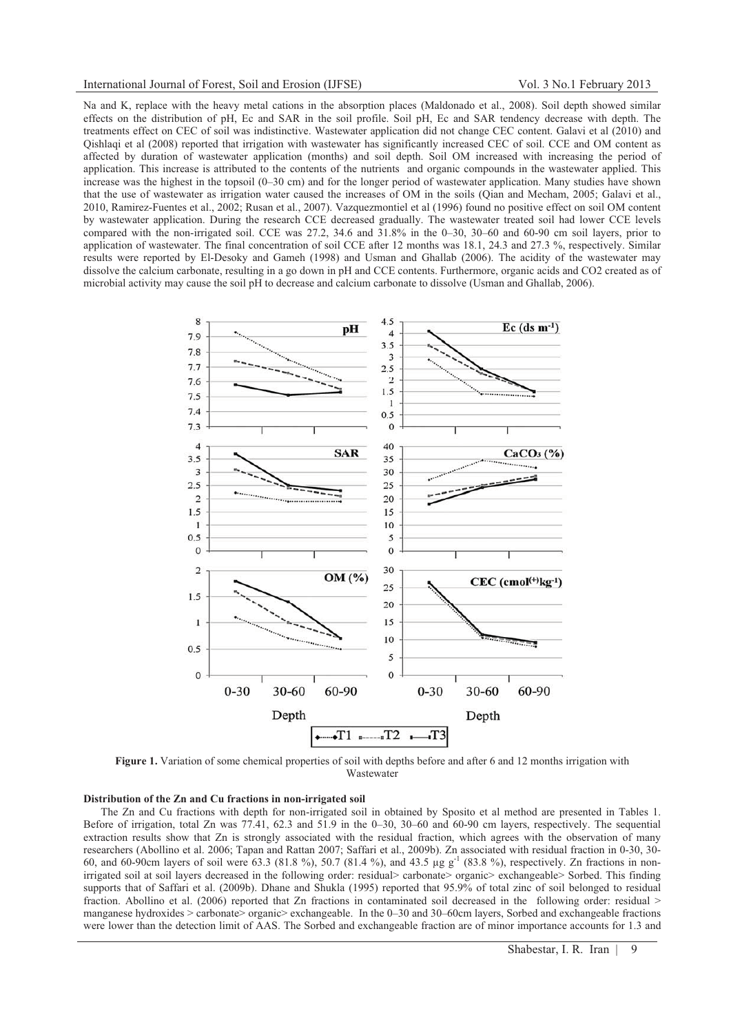## International Journal of Forest, Soil and Erosion (IJFSE) Vol. 3 No.1 February 2013

Na and K, replace with the heavy metal cations in the absorption places (Maldonado et al., 2008). Soil depth showed similar effects on the distribution of pH, Ec and SAR in the soil profile. Soil pH, Ec and SAR tendency decrease with depth. The treatments effect on CEC of soil was indistinctive. Wastewater application did not change CEC content. Galavi et al (2010) and Qishlaqi et al (2008) reported that irrigation with wastewater has significantly increased CEC of soil. CCE and OM content as affected by duration of wastewater application (months) and soil depth. Soil OM increased with increasing the period of application. This increase is attributed to the contents of the nutrients and organic compounds in the wastewater applied. This increase was the highest in the topsoil (0–30 cm) and for the longer period of wastewater application. Many studies have shown that the use of wastewater as irrigation water caused the increases of OM in the soils (Qian and Mecham, 2005; Galavi et al., 2010, Ramirez-Fuentes et al., 2002; Rusan et al., 2007). Vazquezmontiel et al (1996) found no positive effect on soil OM content by wastewater application. During the research CCE decreased gradually. The wastewater treated soil had lower CCE levels compared with the non-irrigated soil. CCE was 27.2, 34.6 and 31.8% in the 0–30, 30–60 and 60-90 cm soil layers, prior to application of wastewater. The final concentration of soil CCE after 12 months was 18.1, 24.3 and 27.3 %, respectively. Similar results were reported by El-Desoky and Gameh (1998) and Usman and Ghallab (2006). The acidity of the wastewater may dissolve the calcium carbonate, resulting in a go down in pH and CCE contents. Furthermore, organic acids and CO2 created as of microbial activity may cause the soil pH to decrease and calcium carbonate to dissolve (Usman and Ghallab, 2006).



**Figure 1.** Variation of some chemical properties of soil with depths before and after 6 and 12 months irrigation with Wastewater

# **Distribution of the Zn and Cu fractions in non-irrigated soil**

The Zn and Cu fractions with depth for non-irrigated soil in obtained by Sposito et al method are presented in Tables 1. Before of irrigation, total Zn was 77.41, 62.3 and 51.9 in the 0–30, 30–60 and 60-90 cm layers, respectively. The sequential extraction results show that Zn is strongly associated with the residual fraction, which agrees with the observation of many researchers (Abollino et al. 2006; Tapan and Rattan 2007; Saffari et al., 2009b). Zn associated with residual fraction in 0-30, 30- 60, and 60-90cm layers of soil were 63.3 (81.8 %), 50.7 (81.4 %), and 43.5 μg g-1 (83.8 %), respectively. Zn fractions in nonirrigated soil at soil layers decreased in the following order: residual> carbonate> organic> exchangeable> Sorbed. This finding supports that of Saffari et al. (2009b). Dhane and Shukla (1995) reported that 95.9% of total zinc of soil belonged to residual fraction. Abollino et al. (2006) reported that Zn fractions in contaminated soil decreased in the following order: residual > manganese hydroxides > carbonate> organic> exchangeable. In the 0–30 and 30–60cm layers, Sorbed and exchangeable fractions were lower than the detection limit of AAS. The Sorbed and exchangeable fraction are of minor importance accounts for 1.3 and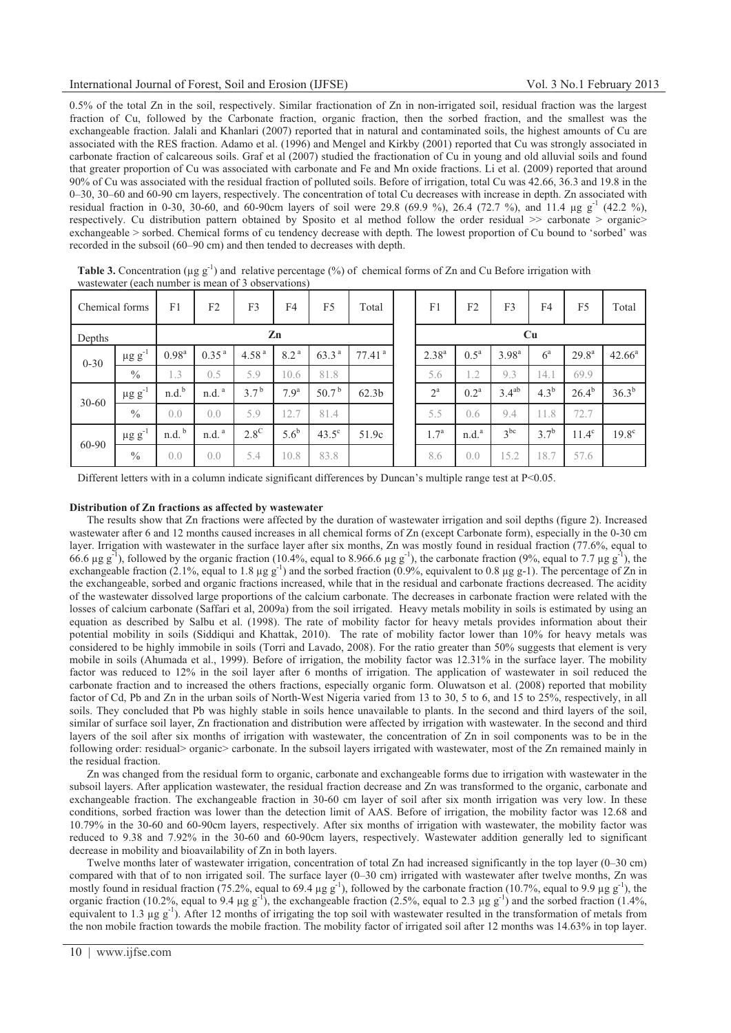0.5% of the total Zn in the soil, respectively. Similar fractionation of Zn in non-irrigated soil, residual fraction was the largest fraction of Cu, followed by the Carbonate fraction, organic fraction, then the sorbed fraction, and the smallest was the exchangeable fraction. Jalali and Khanlari (2007) reported that in natural and contaminated soils, the highest amounts of Cu are associated with the RES fraction. Adamo et al. (1996) and Mengel and Kirkby (2001) reported that Cu was strongly associated in carbonate fraction of calcareous soils. Graf et al (2007) studied the fractionation of Cu in young and old alluvial soils and found that greater proportion of Cu was associated with carbonate and Fe and Mn oxide fractions. Li et al. (2009) reported that around 90% of Cu was associated with the residual fraction of polluted soils. Before of irrigation, total Cu was 42.66, 36.3 and 19.8 in the 0–30, 30–60 and 60-90 cm layers, respectively. The concentration of total Cu decreases with increase in depth. Zn associated with residual fraction in 0-30, 30-60, and 60-90cm layers of soil were 29.8 (69.9 %), 26.4 (72.7 %), and 11.4 µg g<sup>-1</sup> (42.2 %), respectively. Cu distribution pattern obtained by Sposito et al method follow the order residual >> carbonate > organic> exchangeable > sorbed. Chemical forms of cu tendency decrease with depth. The lowest proportion of Cu bound to 'sorbed' was recorded in the subsoil (60–90 cm) and then tended to decreases with depth.

| $m$ as $n$ and $n$ and $n$ and $n$ and $n$ and $n$ are $n$ and $n$ and $n$ and $n$ |                         |                   |                                  |                  |                  |                   |                      |  |                  |                    |                 |                  |                |                   |
|------------------------------------------------------------------------------------|-------------------------|-------------------|----------------------------------|------------------|------------------|-------------------|----------------------|--|------------------|--------------------|-----------------|------------------|----------------|-------------------|
| Chemical forms                                                                     |                         | F1                | F <sub>2</sub>                   | F3               | F4               | F <sub>5</sub>    | Total                |  | F1               | F2                 | F3              | F <sub>4</sub>   | F <sub>5</sub> | Total             |
| Depths                                                                             |                         | Zn                |                                  |                  |                  |                   |                      |  | Cu               |                    |                 |                  |                |                   |
| $0 - 30$                                                                           | $\mu$ g g $^{-1}$       | $0.98^{a}$        | 0.35 <sup>a</sup>                | 4.58 $^{a}$      | 8.2 <sup>a</sup> | 63.3 <sup>a</sup> | $77.41$ <sup>a</sup> |  | $2.38^{a}$       | $0.5^{\mathrm{a}}$ | $3.98^{a}$      | $6^{\circ}$      | $29.8^{\rm a}$ | $42.66^a$         |
|                                                                                    | $\%$                    | 1.3               | 0.5                              | 5.9              | 10.6             | 81.8              |                      |  | 5.6              | 1.2                | 9.3             | 14.1             | 69.9           |                   |
| $30 - 60$                                                                          | $\mu$ g g <sup>-1</sup> | n.d. <sup>b</sup> | $n.d.$ <sup><math>a</math></sup> | 3.7 <sup>b</sup> | 7.9 <sup>a</sup> | 50.7 $^{\rm b}$   | 62.3 <sub>b</sub>    |  | $2^{\mathrm{a}}$ | 0.2 <sup>a</sup>   | $3.4^{ab}$      | 4.3 <sup>b</sup> | $26.4^{b}$     | $36.3^{b}$        |
|                                                                                    | $\%$                    | 0.0               | 0.0                              | 5.9              | 12.7             | 81.4              |                      |  | 5.5              | 0.6                | 9.4             | 11.8             | 72.7           |                   |
| 60-90                                                                              | $\mu$ g g <sup>-1</sup> | n.d.              | $n.d.$ <sup><math>a</math></sup> | $2.8^{\circ}$    | 5.6 <sup>b</sup> | $43.5^\circ$      | 51.9c                |  | $1.7^{a}$        | n.d. <sup>a</sup>  | 3 <sup>bc</sup> | $3.7^{b}$        | $11.4^\circ$   | 19.8 <sup>c</sup> |
|                                                                                    | $\frac{0}{0}$           | 0.0               | 0.0                              | 5.4              | 10.8             | 83.8              |                      |  | 8.6              | 0.0                | 15.2            | 18.7             | 57.6           |                   |

**Table 3.** Concentration ( $\mu$ g g<sup>-1</sup>) and relative percentage (%) of chemical forms of Zn and Cu Before irrigation with wastewater (each number is mean of 3 observations)

Different letters with in a column indicate significant differences by Duncan's multiple range test at P<0.05.

## **Distribution of Zn fractions as affected by wastewater**

The results show that Zn fractions were affected by the duration of wastewater irrigation and soil depths (figure 2). Increased wastewater after 6 and 12 months caused increases in all chemical forms of Zn (except Carbonate form), especially in the 0-30 cm layer. Irrigation with wastewater in the surface layer after six months, Zn was mostly found in residual fraction (77.6%, equal to 66.6 μg g<sup>-1</sup>), followed by the organic fraction (10.4%, equal to 8.966.6 μg g<sup>-1</sup>), the carbonate fraction (9%, equal to 7.7 μg g<sup>-1</sup>), the exchangeable fraction (2.1%, equal to 1.8 μg g<sup>-1</sup>) and the sorbed fraction (0.9%, equivalent to 0.8 μg g-1). The percentage of Zn in the exchangeable, sorbed and organic fractions increased, while that in the residual and carbonate fractions decreased. The acidity of the wastewater dissolved large proportions of the calcium carbonate. The decreases in carbonate fraction were related with the losses of calcium carbonate (Saffari et al, 2009a) from the soil irrigated. Heavy metals mobility in soils is estimated by using an equation as described by Salbu et al. (1998). The rate of mobility factor for heavy metals provides information about their potential mobility in soils (Siddiqui and Khattak, 2010). The rate of mobility factor lower than 10% for heavy metals was considered to be highly immobile in soils (Torri and Lavado, 2008). For the ratio greater than 50% suggests that element is very mobile in soils (Ahumada et al., 1999). Before of irrigation, the mobility factor was 12.31% in the surface layer. The mobility factor was reduced to 12% in the soil layer after 6 months of irrigation. The application of wastewater in soil reduced the carbonate fraction and to increased the others fractions, especially organic form. Oluwatson et al. (2008) reported that mobility factor of Cd, Pb and Zn in the urban soils of North-West Nigeria varied from 13 to 30, 5 to 6, and 15 to 25%, respectively, in all soils. They concluded that Pb was highly stable in soils hence unavailable to plants. In the second and third layers of the soil, similar of surface soil layer, Zn fractionation and distribution were affected by irrigation with wastewater. In the second and third layers of the soil after six months of irrigation with wastewater, the concentration of Zn in soil components was to be in the following order: residual> organic> carbonate. In the subsoil layers irrigated with wastewater, most of the Zn remained mainly in the residual fraction.

Zn was changed from the residual form to organic, carbonate and exchangeable forms due to irrigation with wastewater in the subsoil layers. After application wastewater, the residual fraction decrease and Zn was transformed to the organic, carbonate and exchangeable fraction. The exchangeable fraction in 30-60 cm layer of soil after six month irrigation was very low. In these conditions, sorbed fraction was lower than the detection limit of AAS. Before of irrigation, the mobility factor was 12.68 and 10.79% in the 30-60 and 60-90cm layers, respectively. After six months of irrigation with wastewater, the mobility factor was reduced to 9.38 and 7.92% in the 30-60 and 60-90cm layers, respectively. Wastewater addition generally led to significant decrease in mobility and bioavailability of Zn in both layers.

Twelve months later of wastewater irrigation, concentration of total Zn had increased significantly in the top layer (0–30 cm) compared with that of to non irrigated soil. The surface layer (0–30 cm) irrigated with wastewater after twelve months, Zn was mostly found in residual fraction (75.2%, equal to 69.4  $\mu$ g g<sup>-1</sup>), followed by the carbonate fraction (10.7%, equal to 9.9  $\mu$ g g<sup>-1</sup>), the organic fraction (10.2%, equal to 9.4 µg g<sup>-1</sup>), the exchangeable fraction (2.5%, equal to 2.3 µg g<sup>-1</sup>) and the sorbed fraction (1.4%, equivalent to 1.3 μg g<sup>-1</sup>). After 12 months of irrigating the top soil with wastewater resulted in the transformation of metals from the non mobile fraction towards the mobile fraction. The mobility factor of irrigated soil after 12 months was 14.63% in top layer.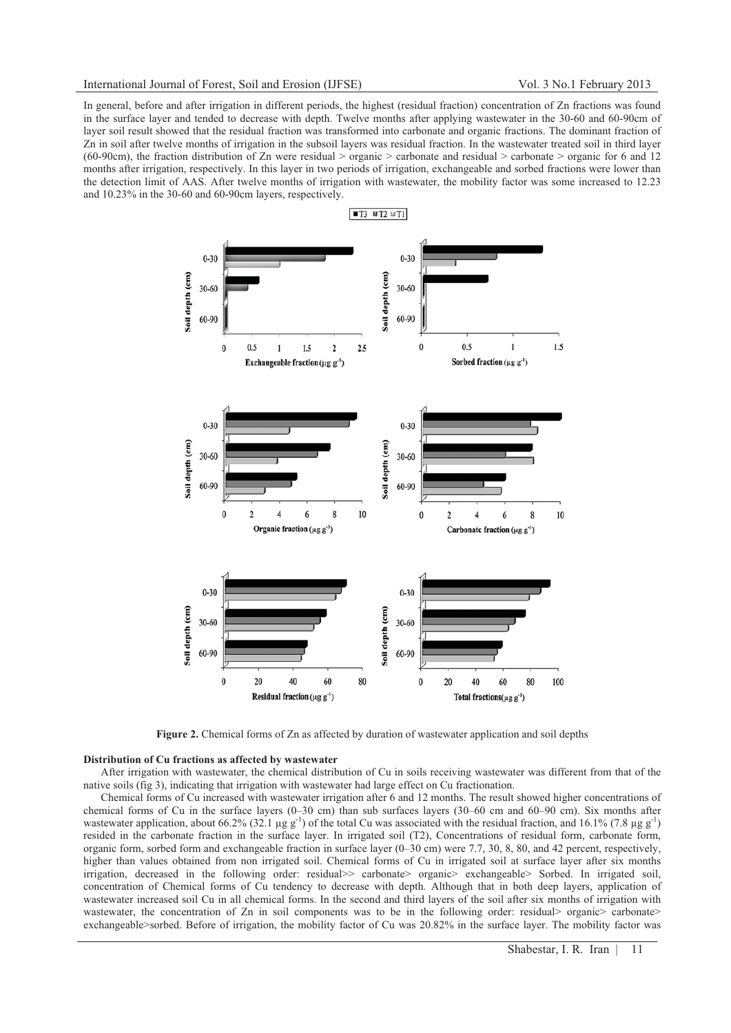In general, before and after irrigation in different periods, the highest (residual fraction) concentration of Zn fractions was found in the surface layer and tended to decrease with depth. Twelve months after applying wastewater in the 30-60 and 60-90cm of layer soil result showed that the residual fraction was transformed into carbonate and organic fractions. The dominant fraction of Zn in soil after twelve months of irrigation in the subsoil layers was residual fraction. In the wastewater treated soil in third layer (60-90cm), the fraction distribution of Zn were residual > organic > carbonate and residual > carbonate > organic for 6 and 12 months after irrigation, respectively. In this layer in two periods of irrigation, exchangeable and sorbed fractions were lower than the detection limit of AAS. After twelve months of irrigation with wastewater, the mobility factor was some increased to 12.23 and 10.23% in the 30-60 and 60-90cm layers, respectively.



**Figure 2.** Chemical forms of Zn as affected by duration of wastewater application and soil depths

#### **Distribution of Cu fractions as affected by wastewater**

After irrigation with wastewater, the chemical distribution of Cu in soils receiving wastewater was different from that of the native soils (fig 3), indicating that irrigation with wastewater had large effect on Cu fractionation.

Chemical forms of Cu increased with wastewater irrigation after 6 and 12 months. The result showed higher concentrations of chemical forms of Cu in the surface layers (0–30 cm) than sub surfaces layers (30–60 cm and 60–90 cm). Six months after wastewater application, about 66.2% (32.1 μg g<sup>-1</sup>) of the total Cu was associated with the residual fraction, and 16.1% (7.8 μg g<sup>-1</sup>) resided in the carbonate fraction in the surface layer. In irrigated soil (T2), Concentrations of residual form, carbonate form, organic form, sorbed form and exchangeable fraction in surface layer (0–30 cm) were 7.7, 30, 8, 80, and 42 percent, respectively, higher than values obtained from non irrigated soil. Chemical forms of Cu in irrigated soil at surface layer after six months irrigation, decreased in the following order: residual>> carbonate> organic> exchangeable> Sorbed. In irrigated soil, concentration of Chemical forms of Cu tendency to decrease with depth. Although that in both deep layers, application of wastewater increased soil Cu in all chemical forms. In the second and third layers of the soil after six months of irrigation with wastewater, the concentration of Zn in soil components was to be in the following order: residual> organic> carbonate> exchangeable>sorbed. Before of irrigation, the mobility factor of Cu was 20.82% in the surface layer. The mobility factor was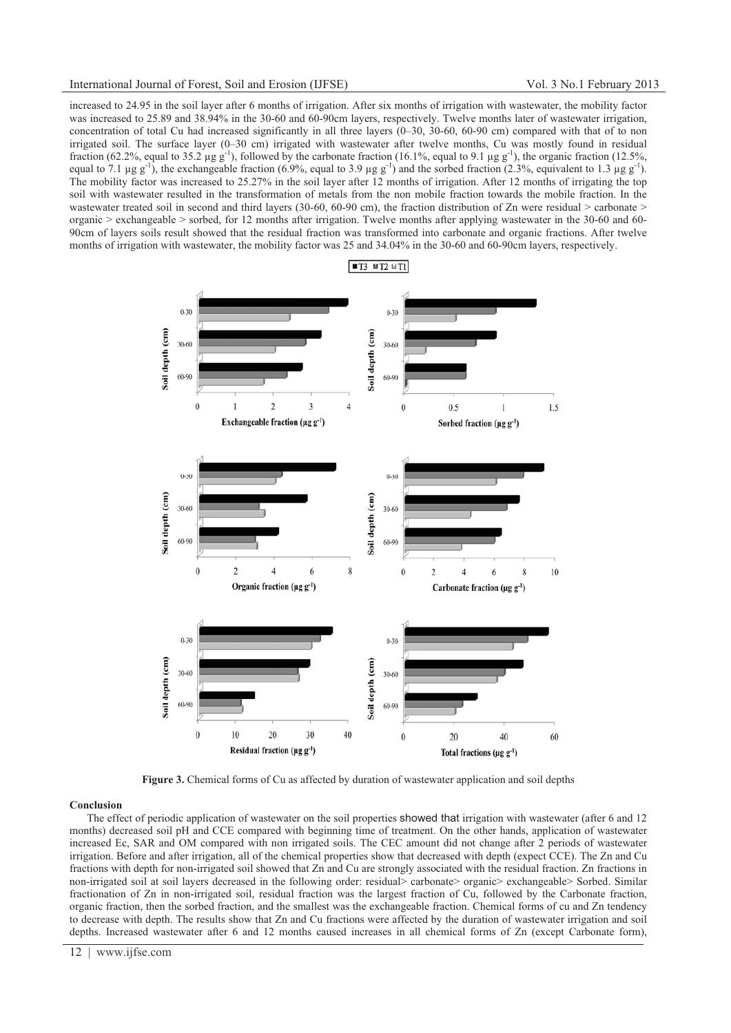increased to 24.95 in the soil layer after 6 months of irrigation. After six months of irrigation with wastewater, the mobility factor was increased to 25.89 and 38.94% in the 30-60 and 60-90cm layers, respectively. Twelve months later of wastewater irrigation, concentration of total Cu had increased significantly in all three layers (0–30, 30-60, 60-90 cm) compared with that of to non irrigated soil. The surface layer (0–30 cm) irrigated with wastewater after twelve months, Cu was mostly found in residual fraction (62.2%, equal to 35.2 μg g<sup>-1</sup>), followed by the carbonate fraction (16.1%, equal to 9.1 μg g<sup>-1</sup>), the organic fraction (12.5%, equal to 7.1 μg g<sup>-1</sup>), the exchangeable fraction (6.9%, equal to 3.9 μg g<sup>-1</sup>) and the sorbed fraction (2.3%, equivalent to 1.3 μg g<sup>-1</sup>). The mobility factor was increased to 25.27% in the soil layer after 12 months of irrigation. After 12 months of irrigating the top soil with wastewater resulted in the transformation of metals from the non mobile fraction towards the mobile fraction. In the wastewater treated soil in second and third layers (30-60, 60-90 cm), the fraction distribution of Zn were residual > carbonate > organic > exchangeable > sorbed, for 12 months after irrigation. Twelve months after applying wastewater in the 30-60 and 60- 90cm of layers soils result showed that the residual fraction was transformed into carbonate and organic fractions. After twelve months of irrigation with wastewater, the mobility factor was 25 and 34.04% in the 30-60 and 60-90cm layers, respectively.



**Figure 3.** Chemical forms of Cu as affected by duration of wastewater application and soil depths

#### **Conclusion**

The effect of periodic application of wastewater on the soil properties showed that irrigation with wastewater (after 6 and 12 months) decreased soil pH and CCE compared with beginning time of treatment. On the other hands, application of wastewater increased Ec, SAR and OM compared with non irrigated soils. The CEC amount did not change after 2 periods of wastewater irrigation. Before and after irrigation, all of the chemical properties show that decreased with depth (expect CCE). The Zn and Cu fractions with depth for non-irrigated soil showed that Zn and Cu are strongly associated with the residual fraction. Zn fractions in non-irrigated soil at soil layers decreased in the following order: residual> carbonate> organic> exchangeable> Sorbed. Similar fractionation of Zn in non-irrigated soil, residual fraction was the largest fraction of Cu, followed by the Carbonate fraction, organic fraction, then the sorbed fraction, and the smallest was the exchangeable fraction. Chemical forms of cu and Zn tendency to decrease with depth. The results show that Zn and Cu fractions were affected by the duration of wastewater irrigation and soil depths. Increased wastewater after 6 and 12 months caused increases in all chemical forms of Zn (except Carbonate form),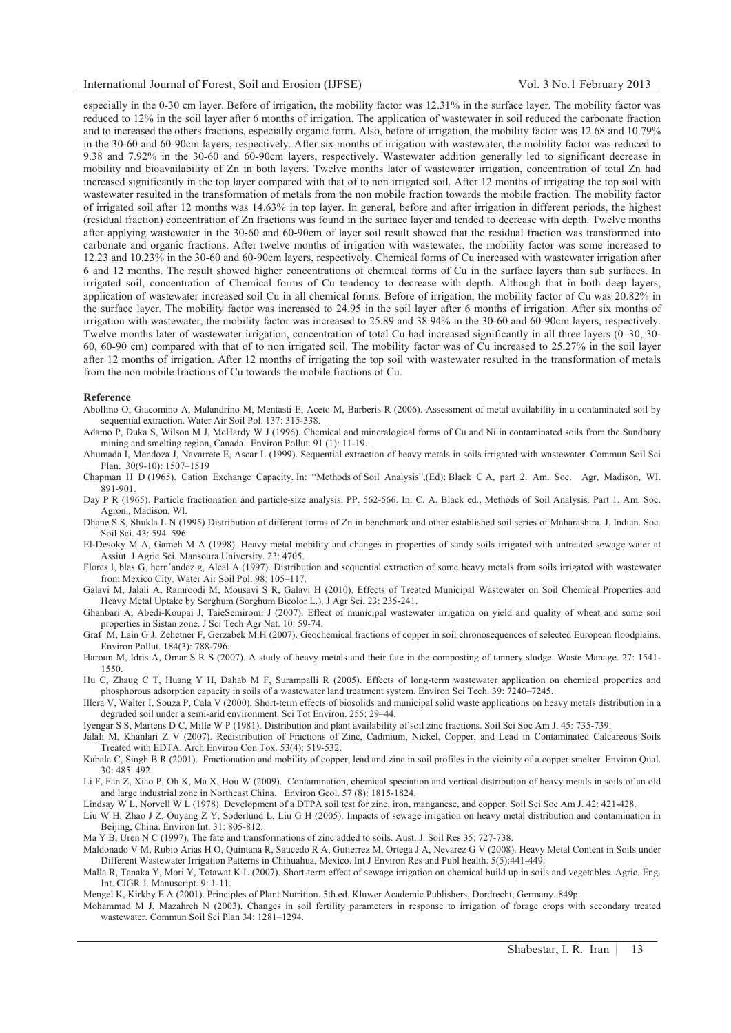## International Journal of Forest, Soil and Erosion (IJFSE) Vol. 3 No.1 February 2013

especially in the 0-30 cm layer. Before of irrigation, the mobility factor was 12.31% in the surface layer. The mobility factor was reduced to 12% in the soil layer after 6 months of irrigation. The application of wastewater in soil reduced the carbonate fraction and to increased the others fractions, especially organic form. Also, before of irrigation, the mobility factor was 12.68 and 10.79% in the 30-60 and 60-90cm layers, respectively. After six months of irrigation with wastewater, the mobility factor was reduced to 9.38 and 7.92% in the 30-60 and 60-90cm layers, respectively. Wastewater addition generally led to significant decrease in mobility and bioavailability of Zn in both layers. Twelve months later of wastewater irrigation, concentration of total Zn had increased significantly in the top layer compared with that of to non irrigated soil. After 12 months of irrigating the top soil with wastewater resulted in the transformation of metals from the non mobile fraction towards the mobile fraction. The mobility factor of irrigated soil after 12 months was 14.63% in top layer. In general, before and after irrigation in different periods, the highest (residual fraction) concentration of Zn fractions was found in the surface layer and tended to decrease with depth. Twelve months after applying wastewater in the 30-60 and 60-90cm of layer soil result showed that the residual fraction was transformed into carbonate and organic fractions. After twelve months of irrigation with wastewater, the mobility factor was some increased to 12.23 and 10.23% in the 30-60 and 60-90cm layers, respectively. Chemical forms of Cu increased with wastewater irrigation after 6 and 12 months. The result showed higher concentrations of chemical forms of Cu in the surface layers than sub surfaces. In irrigated soil, concentration of Chemical forms of Cu tendency to decrease with depth. Although that in both deep layers, application of wastewater increased soil Cu in all chemical forms. Before of irrigation, the mobility factor of Cu was 20.82% in the surface layer. The mobility factor was increased to 24.95 in the soil layer after 6 months of irrigation. After six months of irrigation with wastewater, the mobility factor was increased to 25.89 and 38.94% in the 30-60 and 60-90cm layers, respectively. Twelve months later of wastewater irrigation, concentration of total Cu had increased significantly in all three layers (0–30, 30- 60, 60-90 cm) compared with that of to non irrigated soil. The mobility factor was of Cu increased to 25.27% in the soil layer after 12 months of irrigation. After 12 months of irrigating the top soil with wastewater resulted in the transformation of metals from the non mobile fractions of Cu towards the mobile fractions of Cu.

#### **Reference**

- Abollino O, Giacomino A, Malandrino M, Mentasti E, Aceto M, Barberis R (2006). Assessment of metal availability in a contaminated soil by sequential extraction. Water Air Soil Pol. 137: 315-338.
- Adamo P, Duka S, Wilson M J, McHardy W J (1996). Chemical and mineralogical forms of Cu and Ni in contaminated soils from the Sundbury mining and smelting region, Canada. Environ Pollut. 91 (1): 11-19.
- Ahumada I, Mendoza J, Navarrete E, Ascar L (1999). Sequential extraction of heavy metals in soils irrigated with wastewater. Commun Soil Sci Plan. 30(9-10): 1507–1519
- Chapman H D (1965). Cation Exchange Capacity. In: "Methods of Soil Analysis",(Ed): Black C A, part 2. Am. Soc. Agr, Madison, WI. 891-901.
- Day P R (1965). Particle fractionation and particle-size analysis. PP. 562-566. In: C. A. Black ed., Methods of Soil Analysis. Part 1. Am. Soc. Agron., Madison, WI.
- Dhane S S, Shukla L N (1995) Distribution of different forms of Zn in benchmark and other established soil series of Maharashtra. J. Indian. Soc. Soil Sci. 43: 594–596
- El-Desoky M A, Gameh M A (1998). Heavy metal mobility and changes in properties of sandy soils irrigated with untreated sewage water at Assiut. J Agric Sci. Mansoura University. 23: 4705.
- Flores l, blas G, hern´andez g, Alcal A (1997). Distribution and sequential extraction of some heavy metals from soils irrigated with wastewater from Mexico City. Water Air Soil Pol. 98: 105–117.
- Galavi M, Jalali A, Ramroodi M, Mousavi S R, Galavi H (2010). Effects of Treated Municipal Wastewater on Soil Chemical Properties and Heavy Metal Uptake by Sorghum (Sorghum Bicolor L.). J Agr Sci. 23: 235-241.
- Ghanbari A, Abedi-Koupai J, TaieSemiromi J (2007). Effect of municipal wastewater irrigation on yield and quality of wheat and some soil properties in Sistan zone. J Sci Tech Agr Nat. 10: 59-74.
- Graf M, Lain G J, Zehetner F, Gerzabek M.H (2007). Geochemical fractions of copper in soil chronosequences of selected European floodplains. Environ Pollut. 184(3): 788-796.
- Haroun M, Idris A, Omar S R S (2007). A study of heavy metals and their fate in the composting of tannery sludge. Waste Manage. 27: 1541- 1550.
- Hu C, Zhaug C T, Huang Y H, Dahab M F, Surampalli R (2005). Effects of long-term wastewater application on chemical properties and phosphorous adsorption capacity in soils of a wastewater land treatment system. Environ Sci Tech. 39: 7240–7245.
- Illera V, Walter I, Souza P, Cala V (2000). Short-term effects of biosolids and municipal solid waste applications on heavy metals distribution in a degraded soil under a semi-arid environment. Sci Tot Environ. 255: 29–44.
- Iyengar S S, Martens D C, Mille W P (1981). Distribution and plant availability of soil zinc fractions. Soil Sci Soc Am J. 45: 735-739.
- Jalali M, Khanlari Z V (2007). Redistribution of Fractions of Zinc, Cadmium, Nickel, Copper, and Lead in Contaminated Calcareous Soils Treated with EDTA. Arch Environ Con Tox. 53(4): 519-532.
- Kabala C, Singh B R (2001). Fractionation and mobility of copper, lead and zinc in soil profiles in the vicinity of a copper smelter. Environ Qual. 30: 485–492.
- Li F, Fan Z, Xiao P, Oh K, Ma X, Hou W (2009). Contamination, chemical speciation and vertical distribution of heavy metals in soils of an old and large industrial zone in Northeast China. Environ Geol. 57 (8): 1815-1824.
- Lindsay W L, Norvell W L (1978). Development of a DTPA soil test for zinc, iron, manganese, and copper. Soil Sci Soc Am J. 42: 421-428.
- Liu W H, Zhao J Z, Ouyang Z Y, Soderlund L, Liu G H (2005). Impacts of sewage irrigation on heavy metal distribution and contamination in Beijing, China. Environ Int. 31: 805-812.
- Ma Y B, Uren N C (1997). The fate and transformations of zinc added to soils. Aust. J. Soil Res 35: 727-738.
- Maldonado V M, Rubio Arias H O, Quintana R, Saucedo R A, Gutierrez M, Ortega J A, Nevarez G V (2008). Heavy Metal Content in Soils under Different Wastewater Irrigation Patterns in Chihuahua, Mexico. Int J Environ Res and Publ health. 5(5):441-449.
- Malla R, Tanaka Y, Mori Y, Totawat K L (2007). Short-term effect of sewage irrigation on chemical build up in soils and vegetables. Agric. Eng. Int. CIGR J. Manuscript. 9: 1-11.
- Mengel K, Kirkby E A (2001). Principles of Plant Nutrition. 5th ed. Kluwer Academic Publishers, Dordrecht, Germany. 849p.
- Mohammad M J, Mazahreh N (2003). Changes in soil fertility parameters in response to irrigation of forage crops with secondary treated wastewater. Commun Soil Sci Plan 34: 1281–1294.